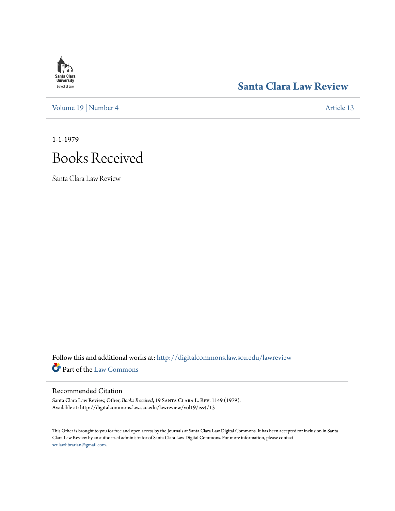## **Santa Clara**<br>**University** School of Law

### **[Santa Clara Law Review](http://digitalcommons.law.scu.edu/lawreview?utm_source=digitalcommons.law.scu.edu%2Flawreview%2Fvol19%2Fiss4%2F13&utm_medium=PDF&utm_campaign=PDFCoverPages)**

[Volume 19](http://digitalcommons.law.scu.edu/lawreview/vol19?utm_source=digitalcommons.law.scu.edu%2Flawreview%2Fvol19%2Fiss4%2F13&utm_medium=PDF&utm_campaign=PDFCoverPages) | [Number 4](http://digitalcommons.law.scu.edu/lawreview/vol19/iss4?utm_source=digitalcommons.law.scu.edu%2Flawreview%2Fvol19%2Fiss4%2F13&utm_medium=PDF&utm_campaign=PDFCoverPages) [Article 13](http://digitalcommons.law.scu.edu/lawreview/vol19/iss4/13?utm_source=digitalcommons.law.scu.edu%2Flawreview%2Fvol19%2Fiss4%2F13&utm_medium=PDF&utm_campaign=PDFCoverPages)

1-1-1979

# Books Received

Santa Clara Law Review

Follow this and additional works at: [http://digitalcommons.law.scu.edu/lawreview](http://digitalcommons.law.scu.edu/lawreview?utm_source=digitalcommons.law.scu.edu%2Flawreview%2Fvol19%2Fiss4%2F13&utm_medium=PDF&utm_campaign=PDFCoverPages) Part of the [Law Commons](http://network.bepress.com/hgg/discipline/578?utm_source=digitalcommons.law.scu.edu%2Flawreview%2Fvol19%2Fiss4%2F13&utm_medium=PDF&utm_campaign=PDFCoverPages)

#### Recommended Citation

Santa Clara Law Review, Other, *Books Received*, 19 Santa Clara L. Rev. 1149 (1979). Available at: http://digitalcommons.law.scu.edu/lawreview/vol19/iss4/13

This Other is brought to you for free and open access by the Journals at Santa Clara Law Digital Commons. It has been accepted for inclusion in Santa Clara Law Review by an authorized administrator of Santa Clara Law Digital Commons. For more information, please contact [sculawlibrarian@gmail.com](mailto:sculawlibrarian@gmail.com).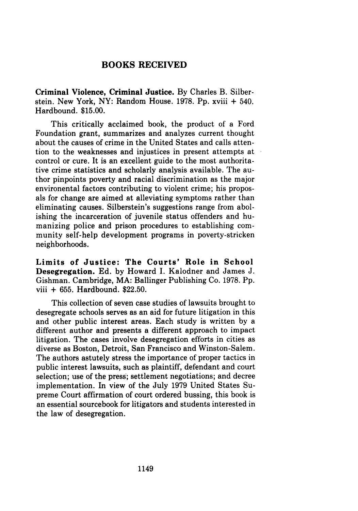### **BOOKS RECEIVED**

**Criminal Violence, Criminal Justice. By** Charles B. Silberstein. New York, NY: Random House. **1978. Pp.** xviii **+** 540. Hardbound. **\$15.00.**

This critically acclaimed book, the product of a Ford Foundation grant, summarizes and analyzes current thought about the causes of crime in the United States and calls attention to the weaknesses and injustices in present attempts at control or cure. It is an excellent guide to the most authoritative crime statistics and scholarly analysis available. The author pinpoints poverty and racial discrimination as the major environental factors contributing to violent crime; his proposals for change are aimed at alleviating symptoms rather than eliminating causes. Silberstein's suggestions range from abolishing the incarceration of juvenile status offenders and humanizing police and prison procedures to establishing community self-help development programs in poverty-stricken neighborhoods.

Limits of Justice: **The Courts' Role** in School Desegregation. **Ed. by** Howard I. Kalodner and James **J.** Gishman. Cambridge, MA: Ballinger Publishing Co. **1978. Pp.** viii **+ 655.** Hardbound. **\$22.50.**

This collection of seven case studies of lawsuits brought to desegregate schools serves as an aid for future litigation in this and other public interest areas. Each study is written **by** a different author and presents a different approach to impact litigation. The cases involve desegregation efforts in cities as diverse as Boston, Detroit, San Francisco and Winston-Salem. The authors astutely stress the importance of proper tactics in public interest lawsuits, such as plaintiff, defendant and court selection; use of the press; settlement negotiations; and decree implementation. In view of the July **1979** United States Supreme Court affirmation of court ordered bussing, this book is an essential sourcebook for litigators and students interested in the law of desegregation.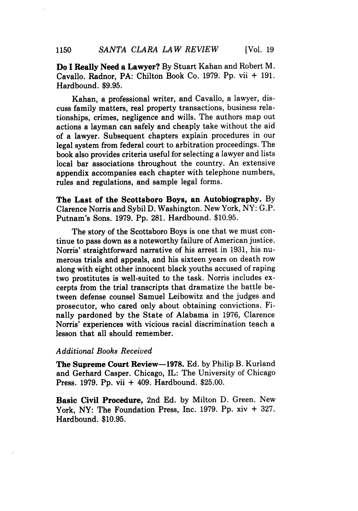Do **I** Really Need a Lawyer? By Stuart Kahan and Robert M. Cavallo. Radnor, PA: Chilton Book Co. 1979. Pp. vii **+** 191. Hardbound. \$9.95.

Kahan, a professional writer, and Cavallo, a lawyer, discuss family matters, real property transactions, business relationships, crimes, negligence and wills. The authors map out actions a layman can safely and cheaply take without the aid of a lawyer. Subsequent chapters explain procedures in our legal system from federal court to arbitration proceedings. The book also provides criteria useful for selecting a lawyer and lists local bar associations throughout the country. An extensive appendix accompanies each chapter with telephone numbers, rules and regulations, and sample legal forms.

The Last of the Scottsboro Boys, an Autobiography. **By** Clarence Norris and **Sybil D.** Washington. New York, NY: **G.P.** Putnam's Sons. **1979. Pp. 281.** Hardbound. **\$10.95.**

The story of the Scottsboro Boys is one that we must continue to pass down as a noteworthy failure of American justice. Norris' straightforward narrative of his arrest in **1931,** his numerous trials and appeals, and his sixteen years on death row along with eight other innocent black youths accused of raping two prostitutes is well-suited to the task. Norris includes excerpts from the trial transcripts that dramatize the battle between defense counsel Samuel Leibowitz and the judges and prosecutor, who cared only about obtaining convictions. Finally pardoned **by** the State of Alabama in **1976,** Clarence Norris' experiences with vicious racial discrimination teach a lesson that all should remember.

#### *Additional Books Received*

The Supreme Court Review-1978. Ed. by Philip B. Kurland and Gerhard Casper. Chicago, IL: The University of Chicago Press. 1979. Pp. vii **+** 409. Hardbound. \$25.00.

Basic Civil Procedure, 2nd Ed. by Milton D. Green. New York, NY: The Foundation Press, Inc. 1979. Pp. xiv **+** 327. Hardbound. \$10.95.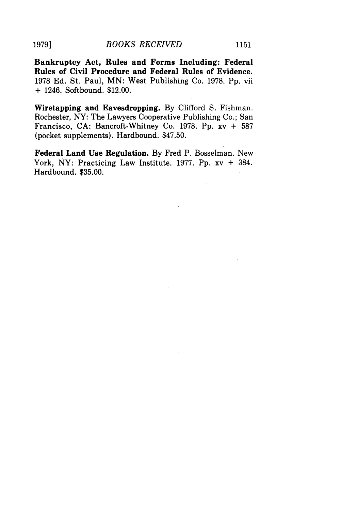**Bankruptcy Act, Rules and Forms Including: Federal Rules of Civil Procedure and Federal Rules of Evidence.** 1978 Ed. St. Paul, MN: West Publishing Co. 1978. Pp. vii **+** 1246. Softbound. \$12.00.

**Wiretapping and Eavesdropping.** By Clifford S. Fishman. Rochester, NY: The Lawyers Cooperative Publishing Co.; San Francisco, CA: Bancroft-Whitney Co. 1978. Pp. xv + 587 (pocket supplements). Hardbound. \$47.50.

**Federal Land Use Regulation.** By Fred P. Bosselman. New York, NY: Practicing Law Institute. 1977. Pp. xv **+** 384. Hardbound. \$35.00.